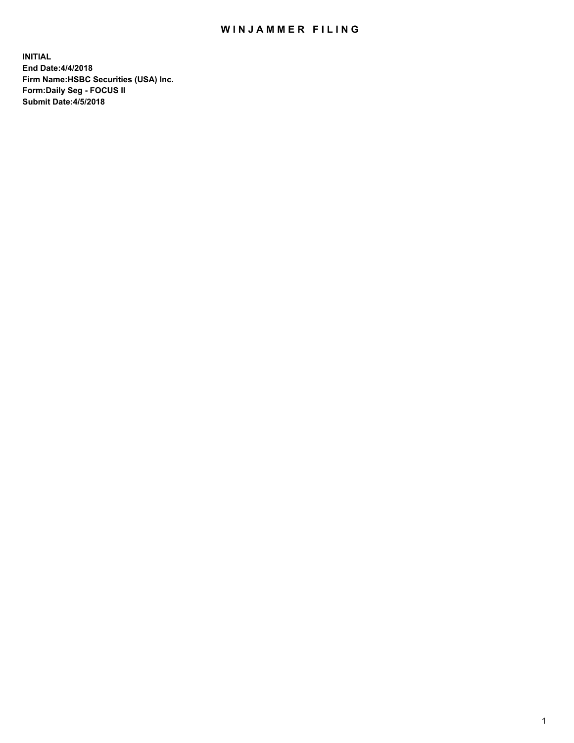## WIN JAMMER FILING

**INITIAL End Date:4/4/2018 Firm Name:HSBC Securities (USA) Inc. Form:Daily Seg - FOCUS II Submit Date:4/5/2018**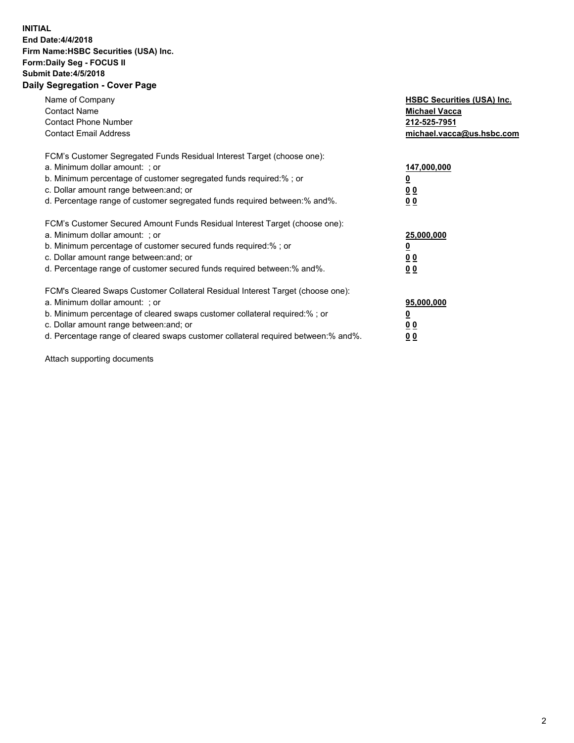## **INITIAL End Date:4/4/2018 Firm Name:HSBC Securities (USA) Inc. Form:Daily Seg - FOCUS II Submit Date:4/5/2018 Daily Segregation - Cover Page**

| Name of Company<br><b>Contact Name</b><br><b>Contact Phone Number</b><br><b>Contact Email Address</b>                                                                                                                                                                                                                          | <b>HSBC Securities (USA) Inc.</b><br><b>Michael Vacca</b><br>212-525-7951<br>michael.vacca@us.hsbc.com |
|--------------------------------------------------------------------------------------------------------------------------------------------------------------------------------------------------------------------------------------------------------------------------------------------------------------------------------|--------------------------------------------------------------------------------------------------------|
| FCM's Customer Segregated Funds Residual Interest Target (choose one):<br>a. Minimum dollar amount: ; or<br>b. Minimum percentage of customer segregated funds required:%; or<br>c. Dollar amount range between: and; or<br>d. Percentage range of customer segregated funds required between:% and%.                          | 147,000,000<br><u>0</u><br><u>00</u><br>00                                                             |
| FCM's Customer Secured Amount Funds Residual Interest Target (choose one):<br>a. Minimum dollar amount: ; or<br>b. Minimum percentage of customer secured funds required:%; or<br>c. Dollar amount range between: and; or<br>d. Percentage range of customer secured funds required between:% and%.                            | 25,000,000<br><u>0</u><br><u>00</u><br>00                                                              |
| FCM's Cleared Swaps Customer Collateral Residual Interest Target (choose one):<br>a. Minimum dollar amount: ; or<br>b. Minimum percentage of cleared swaps customer collateral required:% ; or<br>c. Dollar amount range between: and; or<br>d. Percentage range of cleared swaps customer collateral required between:% and%. | 95,000,000<br><u>0</u><br><u>00</u><br>0 <sub>0</sub>                                                  |

Attach supporting documents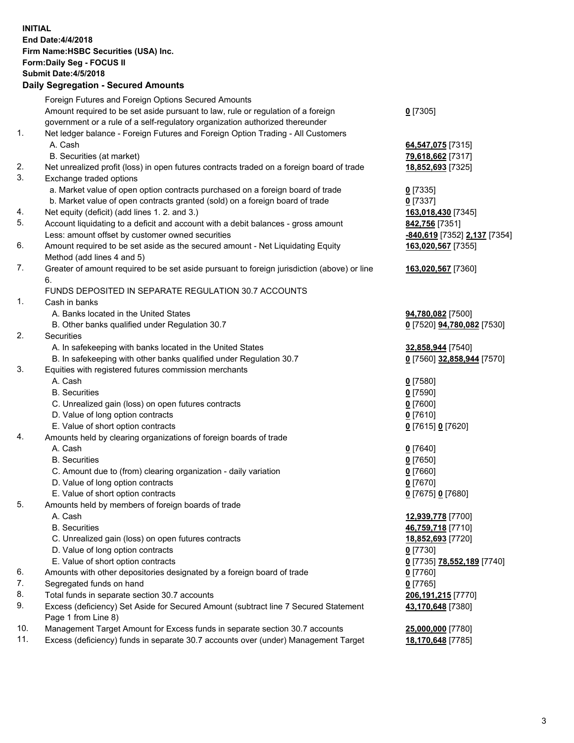**INITIAL End Date:4/4/2018 Firm Name:HSBC Securities (USA) Inc. Form:Daily Seg - FOCUS II Submit Date:4/5/2018 Daily Segregation - Secured Amounts** Foreign Futures and Foreign Options Secured Amounts Amount required to be set aside pursuant to law, rule or regulation of a foreign government or a rule of a self-regulatory organization authorized thereunder **0** [7305] 1. Net ledger balance - Foreign Futures and Foreign Option Trading - All Customers A. Cash **64,547,075** [7315] B. Securities (at market) **79,618,662** [7317] 2. Net unrealized profit (loss) in open futures contracts traded on a foreign board of trade **18,852,693** [7325] 3. Exchange traded options a. Market value of open option contracts purchased on a foreign board of trade **0** [7335] b. Market value of open contracts granted (sold) on a foreign board of trade **0** [7337] 4. Net equity (deficit) (add lines 1. 2. and 3.) **163,018,430** [7345] 5. Account liquidating to a deficit and account with a debit balances - gross amount **842,756** [7351] Less: amount offset by customer owned securities **-840,619** [7352] **2,137** [7354] 6. Amount required to be set aside as the secured amount - Net Liquidating Equity Method (add lines 4 and 5) **163,020,567** [7355] 7. Greater of amount required to be set aside pursuant to foreign jurisdiction (above) or line 6. **163,020,567** [7360] FUNDS DEPOSITED IN SEPARATE REGULATION 30.7 ACCOUNTS 1. Cash in banks A. Banks located in the United States **94,780,082** [7500] B. Other banks qualified under Regulation 30.7 **0** [7520] **94,780,082** [7530] 2. Securities A. In safekeeping with banks located in the United States **32,858,944** [7540] B. In safekeeping with other banks qualified under Regulation 30.7 **0** [7560] **32,858,944** [7570] 3. Equities with registered futures commission merchants A. Cash **0** [7580] B. Securities **0** [7590] C. Unrealized gain (loss) on open futures contracts **0** [7600] D. Value of long option contracts **0** [7610] E. Value of short option contracts **0** [7615] **0** [7620] 4. Amounts held by clearing organizations of foreign boards of trade A. Cash **0** [7640] B. Securities **0** [7650] C. Amount due to (from) clearing organization - daily variation **0** [7660] D. Value of long option contracts **0** [7670] E. Value of short option contracts **0** [7675] **0** [7680] 5. Amounts held by members of foreign boards of trade A. Cash **12,939,778** [7700] B. Securities **46,759,718** [7710] C. Unrealized gain (loss) on open futures contracts **18,852,693** [7720] D. Value of long option contracts **0** [7730] E. Value of short option contracts **0** [7735] **78,552,189** [7740] 6. Amounts with other depositories designated by a foreign board of trade **0** [7760] 7. Segregated funds on hand **0** [7765] 8. Total funds in separate section 30.7 accounts **206,191,215** [7770] 9. Excess (deficiency) Set Aside for Secured Amount (subtract line 7 Secured Statement Page 1 from Line 8) **43,170,648** [7380] 10. Management Target Amount for Excess funds in separate section 30.7 accounts **25,000,000** [7780] 11. Excess (deficiency) funds in separate 30.7 accounts over (under) Management Target **18,170,648** [7785]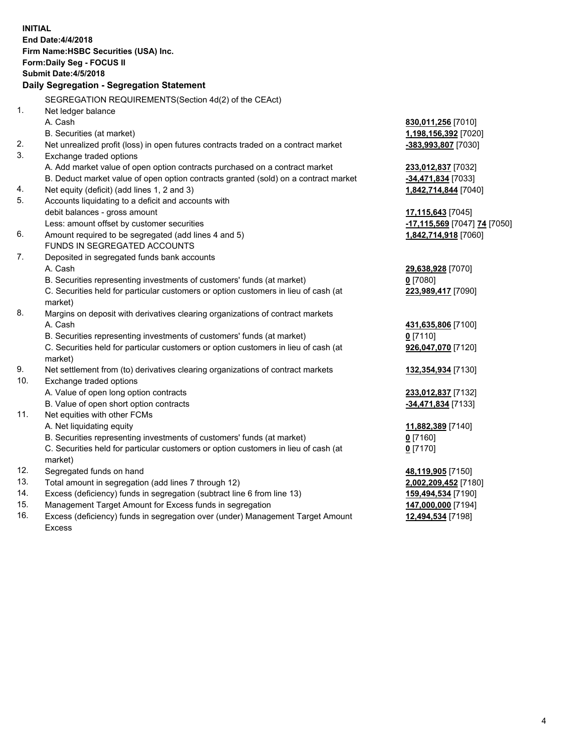| <b>INITIAL</b> | End Date: 4/4/2018<br>Firm Name: HSBC Securities (USA) Inc.<br>Form: Daily Seg - FOCUS II<br><b>Submit Date:4/5/2018</b><br>Daily Segregation - Segregation Statement |                              |
|----------------|-----------------------------------------------------------------------------------------------------------------------------------------------------------------------|------------------------------|
|                |                                                                                                                                                                       |                              |
|                | SEGREGATION REQUIREMENTS(Section 4d(2) of the CEAct)                                                                                                                  |                              |
| 1.             | Net ledger balance                                                                                                                                                    |                              |
|                | A. Cash                                                                                                                                                               | 830,011,256 [7010]           |
|                | B. Securities (at market)                                                                                                                                             | 1,198,156,392 [7020]         |
| 2.             | Net unrealized profit (loss) in open futures contracts traded on a contract market                                                                                    | -383,993,807 [7030]          |
| 3.             | Exchange traded options                                                                                                                                               |                              |
|                | A. Add market value of open option contracts purchased on a contract market                                                                                           | 233,012,837 [7032]           |
|                | B. Deduct market value of open option contracts granted (sold) on a contract market                                                                                   | -34,471,834 [7033]           |
| 4.             | Net equity (deficit) (add lines 1, 2 and 3)                                                                                                                           | 1,842,714,844 [7040]         |
| 5.             | Accounts liquidating to a deficit and accounts with                                                                                                                   |                              |
|                | debit balances - gross amount                                                                                                                                         | 17,115,643 [7045]            |
|                | Less: amount offset by customer securities                                                                                                                            | -17,115,569 [7047] 74 [7050] |
| 6.             | Amount required to be segregated (add lines 4 and 5)<br>FUNDS IN SEGREGATED ACCOUNTS                                                                                  | 1,842,714,918 [7060]         |
| 7.             | Deposited in segregated funds bank accounts                                                                                                                           |                              |
|                | A. Cash                                                                                                                                                               | 29,638,928 [7070]            |
|                | B. Securities representing investments of customers' funds (at market)                                                                                                | $0$ [7080]                   |
|                | C. Securities held for particular customers or option customers in lieu of cash (at                                                                                   | 223,989,417 [7090]           |
|                | market)                                                                                                                                                               |                              |
| 8.             | Margins on deposit with derivatives clearing organizations of contract markets                                                                                        |                              |
|                | A. Cash                                                                                                                                                               | 431,635,806 [7100]           |
|                | B. Securities representing investments of customers' funds (at market)                                                                                                | $0$ [7110]                   |
|                | C. Securities held for particular customers or option customers in lieu of cash (at                                                                                   | 926,047,070 [7120]           |
|                | market)                                                                                                                                                               |                              |
| 9.             | Net settlement from (to) derivatives clearing organizations of contract markets                                                                                       | 132,354,934 [7130]           |
| 10.            | Exchange traded options                                                                                                                                               |                              |
|                | A. Value of open long option contracts                                                                                                                                | 233,012,837 [7132]           |
|                | B. Value of open short option contracts                                                                                                                               | -34,471,834 [7133]           |
| 11.            | Net equities with other FCMs                                                                                                                                          |                              |
|                | A. Net liquidating equity                                                                                                                                             | 11,882,389 [7140]            |
|                | B. Securities representing investments of customers' funds (at market)                                                                                                | 0 [7160]                     |
|                | C. Securities held for particular customers or option customers in lieu of cash (at                                                                                   | $0$ [7170]                   |
|                | market)                                                                                                                                                               |                              |
| 12.            | Segregated funds on hand                                                                                                                                              | 48,119,905 [7150]            |
| 13.            | Total amount in segregation (add lines 7 through 12)                                                                                                                  | 2,002,209,452 [7180]         |
| 14.            | Excess (deficiency) funds in segregation (subtract line 6 from line 13)                                                                                               | 159,494,534 [7190]           |
| 15.            | Management Target Amount for Excess funds in segregation                                                                                                              | 147,000,000 [7194]           |
| 16.            | Excess (deficiency) funds in segregation over (under) Management Target Amount                                                                                        | 12,494,534 [7198]            |

Excess